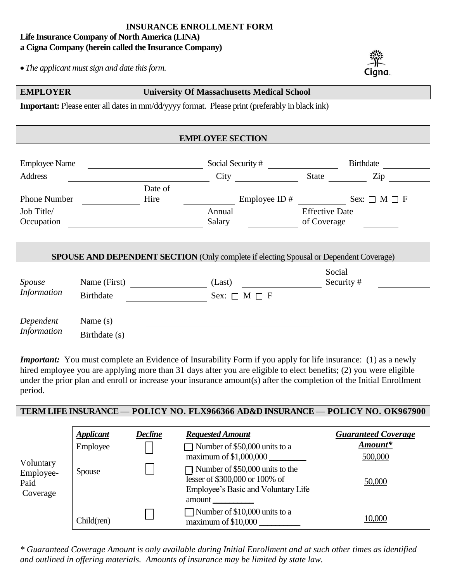# **INSURANCE ENROLLMENT FORM Life Insurance Company of North America (LINA) a Cigna Company (herein called the Insurance Company)**

*The applicant must sign and date this form.*



### **EMPLOYER University Of Massachusetts Medical School**

**Important:** Please enter all dates in mm/dd/yyyy format. Please print (preferably in black ink)

| <b>EMPLOYEE SECTION</b>  |                  |                        |                                                          |                                                                                               |              |                        |  |  |
|--------------------------|------------------|------------------------|----------------------------------------------------------|-----------------------------------------------------------------------------------------------|--------------|------------------------|--|--|
| <b>Employee Name</b>     |                  | Social Security #      |                                                          | <b>Birthdate</b>                                                                              |              |                        |  |  |
| <b>Address</b>           |                  |                        | City                                                     |                                                                                               | <b>State</b> | Zip                    |  |  |
| <b>Phone Number</b>      |                  | Date of<br>Hire        |                                                          | Employee ID $#$                                                                               |              | Sex: $\Box$ M $\Box$ F |  |  |
| Job Title/<br>Occupation |                  |                        | <b>Effective Date</b><br>Annual<br>Salary<br>of Coverage |                                                                                               |              |                        |  |  |
|                          |                  |                        |                                                          | <b>SPOUSE AND DEPENDENT SECTION</b> (Only complete if electing Spousal or Dependent Coverage) |              |                        |  |  |
|                          |                  |                        |                                                          |                                                                                               | Social       |                        |  |  |
| Spouse<br>Information    | Name (First)     |                        | (Last)                                                   |                                                                                               |              | Security#              |  |  |
|                          | <b>Birthdate</b> | Sex: $\Box$ M $\Box$ F |                                                          |                                                                                               |              |                        |  |  |
| Dependent<br>Information | Name $(s)$       |                        |                                                          |                                                                                               |              |                        |  |  |
|                          | Birthdate (s)    |                        |                                                          |                                                                                               |              |                        |  |  |

*Important:* You must complete an Evidence of Insurability Form if you apply for life insurance: (1) as a newly hired employee you are applying more than 31 days after you are eligible to elect benefits; (2) you were eligible under the prior plan and enroll or increase your insurance amount(s) after the completion of the Initial Enrollment period.

#### **TERM LIFE INSURANCE — POLICY NO. FLX966366 AD&D INSURANCE — POLICY NO. OK967900**

| Voluntary<br>Employee-<br>Paid<br>Coverage | <b>Applicant</b><br>Employee | Decline | <b>Requested Amount</b><br>Number of \$50,000 units to a<br>maximum of $$1,000,000$                                | <b>Guaranteed Coverage</b><br>Amount*<br>500,000 |
|--------------------------------------------|------------------------------|---------|--------------------------------------------------------------------------------------------------------------------|--------------------------------------------------|
|                                            | <b>Spouse</b>                |         | Number of \$50,000 units to the<br>lesser of \$300,000 or 100% of<br>Employee's Basic and Voluntary Life<br>amount | 50,000                                           |
|                                            | $Child$ (ren)                |         | Number of \$10,000 units to a<br>maximum of $$10,000$                                                              | 10,000                                           |

*\* Guaranteed Coverage Amount is only available during Initial Enrollment and at such other times as identified and outlined in offering materials. Amounts of insurance may be limited by state law.*